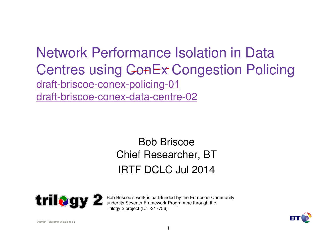#### Network Performance Isolation in Data Centres using ConEx Congestion Policing draft-briscoe-conex-policing-01draft-briscoe-conex-data-centre-02

#### Bob Briscoe Chief Researcher, BTIRTF DCLC Jul 2014



Bob Briscoe's work is part-funded by the European Communityunder its Seventh Framework Programme through the Trilogy 2 project (ICT-317756)

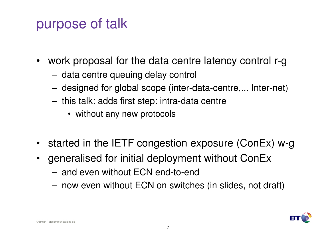## purpose of talk

- $\bullet$  work proposal for the data centre latency control r-g
	- data centre queuing delay control
	- –designed for global scope (inter-data-centre,... Inter-net)
	- this talk: adds first step: intra-data centre
		- without any new protocols
- started in the IETF congestion exposure (ConEx) w-g
- $\bullet$  generalised for initial deployment without ConEx
	- –and even without ECN end-to-end
	- –now even without ECN on switches (in slides, not draft)

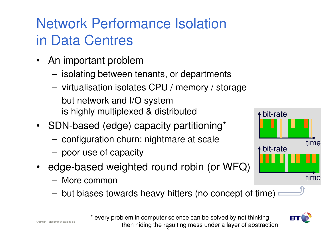# Network Performance Isolation in Data Centres

- An important problem
	- ICAI2tina hatwaan i isolating between tenants, or departments
	- virtualisation isolates CPU / memory / storage
	- – but network and I/O systemis highly multiplexed & distributed
- SDN-based (edge) capacity partitioning\*
	- –configuration churn: nightmare at scale
	- poor use of capacity
- edge-based weighted round robin (or WFQ)
	- More common
	- –but biases towards heavy hitters (no concept of time)



then hiding the resulting mess under a layer of abstraction \* every problem in computer science can be solved by not thinking

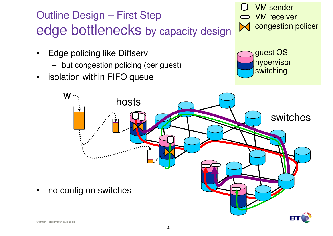## Outline Design – First Stepedge bottlenecks by capacity design

- $\bullet$  Edge policing like Diffserv
	- but congestion policing (per guest)
- $\bullet$ isolation within FIFO queue







•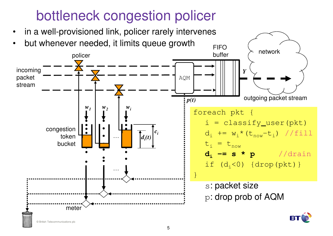# bottleneck congestion policer

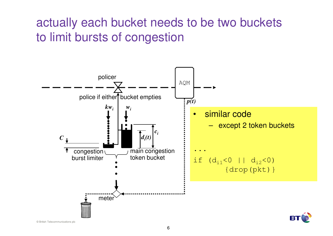#### actually each bucket needs to be two bucketsto limit bursts of congestion



© British Telecommunications plc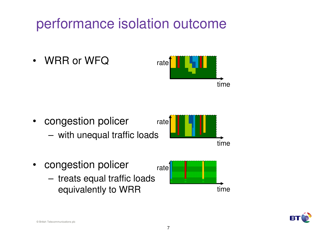# performance isolation outcome

•WRR or WFQ



- congestion policerrate
	- with unequal traffic loads



- $\bullet$  congestion policer
	- treats equal traffic loadsequivalently to WRR





© British Telecommunications plc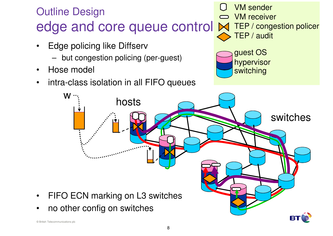## Outline Designedge and core queue control

- • Edge policing like Diffserv
	- but congestion policing (per-guest)
- $\bullet$ Hose model
- •intra-class isolation in all FIFO queues

VM sender VM receiver TEP / congestion policer TEP / audit





•

•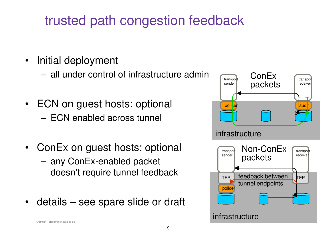## trusted path congestion feedback

- $\bullet$  Initial deployment
	- all under control of infrastructure admin
- ECN on guest hosts: optional ECN enabled across tunnel
- $\bullet$  ConEx on guest hosts: optional
	- any ConEx-enabled packet doesn't require tunnel feedback
- $\bullet$ details – see spare slide or draft

![](_page_8_Figure_7.jpeg)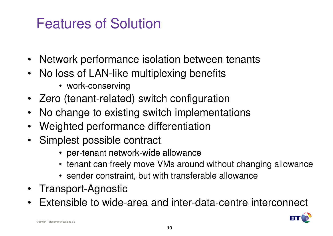# Features of Solution

- •Network performance isolation between tenants
- • No loss of LAN-like multiplexing benefits
	- work-conserving
- Zero (tenant-related) switch configuration
- No change to existing switch implementations•
- $\bullet$ Weighted performance differentiation
- Simplest possible contract
	- per-tenant network-wide allowance
	- tenant can freely move VMs around without changing allowance
	- sender constraint, but with transferable allowance
- $\bullet$ Transport-Agnostic
- Extensible to wide-area and inter-data-centre interconnect•

![](_page_9_Picture_13.jpeg)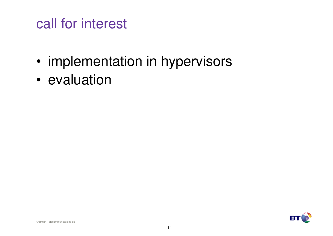## call for interest

- •implementation in hypervisors
- •evaluation

![](_page_10_Picture_3.jpeg)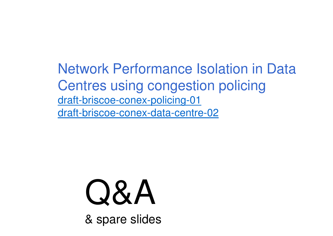Network Performance Isolation in Data Centres using congestion policingdraft-briscoe-conex-policing-01draft-briscoe-conex-data-centre-02

# Q&A

& spare slides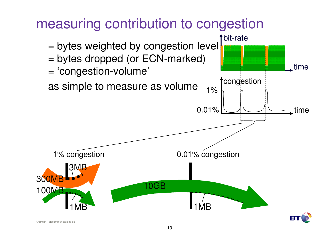![](_page_12_Figure_0.jpeg)